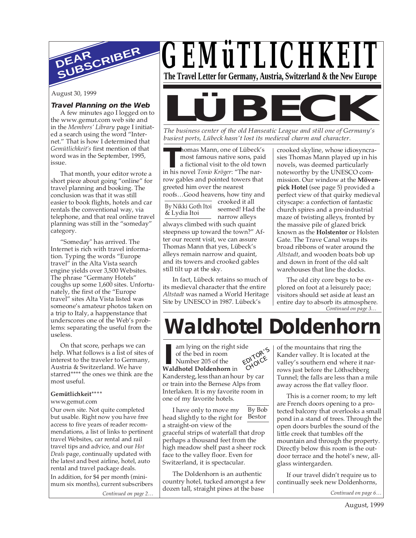

August 30, 1999

#### **Travel Planning on the Web**

A few minutes ago I logged on to the www.gemut.com web site and in the *Members' Library* page I initiated a search using the word "Internet." That is how I determined that *Gemütlichkeit's* first mention of that word was in the September, 1995, issue.

That month, your editor wrote a short piece about going "online" for travel planning and booking. The conclusion was that it was still easier to book flights, hotels and car rentals the conventional way, via telephone, and that real online travel planning was still in the "someday" category.

"Someday" has arrived. The Internet is rich with travel information. Typing the words "Europe travel" in the Alta Vista search engine yields over 3,500 Websites. The phrase "Germany Hotels" coughs up some 1,600 sites. Unfortunately, the first of the "Europe travel" sites Alta Vista listed was someone's amateur photos taken on a trip to Italy, a happenstance that underscores one of the Web's problems: separating the useful from the useless.

On that score, perhaps we can help. What follows is a list of sites of interest to the traveler to Germany, Austria & Switzerland. We have starred\*\*\*\* the ones we think are the most useful.

#### **Gemütlichkeit\*\*\*\***

www.gemut.com

*Continued on page 2…* Our own site. Not quite completed but usable. Right now you have free access to five years of reader recommendations, a list of links to pertinent travel Websites, car rental and rail travel tips and advice, and our *Hot Deals* page, continually updated with the latest and best airline, hotel, auto rental and travel package deals. In addition, for \$4 per month (minimum six months), current subscribers

*GEMüTLICHKEIT* **The Travel Letter for Germany, Austria, Switzerland & the New Europe**



*busiest ports, Lübeck hasn't lost its medieval charm and character.*

**The Homas Mann, one of Lübeck'**<br>
most famous native sons, pai<br>
a fictional visit to the old tow<br>
in his novel *Tonio Kröger*: "The narhomas Mann, one of Lübeck's most famous native sons, paid a fictional visit to the old town row gables and pointed towers that greeted him over the nearest roofs…Good heavens, how tiny and

By Nikki Goth Itoi & Lydia Itoi

crooked it all seemed! Had the narrow alleys always climbed with such quaint

steepness up toward the town?" After our recent visit, we can assure Thomas Mann that yes, Lübeck's alleys remain narrow and quaint, and its towers and crooked gables still tilt up at the sky.

In fact, Lübeck retains so much of its medieval character that the entire *Altstadt* was named a World Heritage Site by UNESCO in 1987. Lübeck's

crooked skyline, whose idiosyncrasies Thomas Mann played up in his novels, was deemed particularly noteworthy by the UNESCO commission. Our window at the **Mövenpick Hotel** (see page 5) provided a perfect view of that quirky medieval cityscape: a confection of fantastic church spires and a pre-industrial maze of twisting alleys, fronted by the massive pile of glazed brick known as the **Holstentor** or Holsten Gate. The Trave Canal wraps its broad ribbons of water around the *Altstadt*, and wooden boats bob up and down in front of the old salt warehouses that line the docks.

*Continued on page 3…* The old city core begs to be explored on foot at a leisurely pace; visitors should set aside at least an entire day to absorb its atmosphere.

# **Waldhotel Doldenhorn**

**II** am lying on the right sof the bed in room<br>
Number 205 of the<br> **Waldhotel Doldenhorn** in am lying on the right side of the bed in room Number 205 of the Kandersteg, less than an hour by car or train into the Bernese Alps from Interlaken. It is my favorite room in one of my favorite hotels. EDITOR'<sup>S</sup> CHOICE

By Bob

head slightly to the right for Bestor I have only to move my a straight-on view of the graceful strips of waterfall that drop perhaps a thousand feet from the high meadow shelf past a sheer rock face to the valley floor. Even for Switzerland, it is spectacular.

The Doldenhorn is an authentic country hotel, tucked amongst a few dozen tall, straight pines at the base

of the mountains that ring the Kander valley. It is located at the valley's southern end where it narrows just before the Löthschberg Tunnel; the falls are less than a mile away across the flat valley floor.

This is a corner room; to my left are French doors opening to a protected balcony that overlooks a small pond in a stand of trees. Through the open doors burbles the sound of the little creek that tumbles off the mountain and through the property. Directly below this room is the outdoor terrace and the hotel's new, allglass wintergarden.

If our travel didn't require us to continually seek new Doldenhorns,

*Continued on page 6…*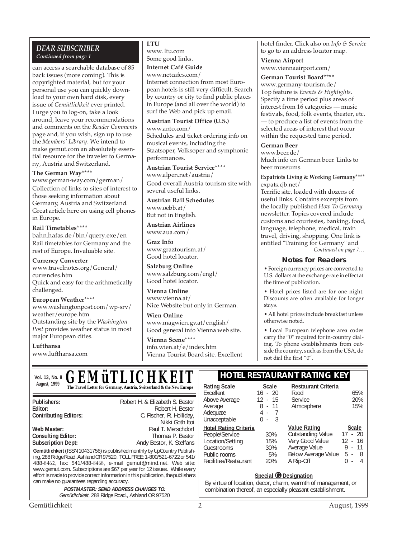#### *DEAR SUBSCRIBER Continued from page 1*

can access a searchable database of 85 back issues (more coming). This is copyrighted material, but for your personal use you can quickly download to your own hard disk, every issue of *Gemütlichkeit* ever printed. I urge you to log-on, take a look around, leave your recommendations and comments on the *Reader Comments* page and, if you wish, sign up to use the *Members' Library*. We intend to make gemut.com an absolutely essential resource for the traveler to Germany, Austria and Switzerland.

#### **The German Way\*\*\*\***

www.german-way.com/german/ Collection of links to sites of interest to those seeking information about Germany, Austria and Switzerland. Great article here on using cell phones in Europe.

#### **Rail Timetables\*\*\*\***

bahn.hafas.de/bin/query.exe/en Rail timetables for Germany and the rest of Europe. Invaluable site.

**Currency Converter** www.travelnotes.org/General/ currencies.htm Quick and easy for the arithmetically

challenged. **European Weather\*\*\*\***

www.washingtonpost.com/wp-srv/ weather/europe.htm Outstanding site by the *Washington Post* provides weather status in most major European cities.

**Lufthansa** www.lufthansa.com

#### **LTU**

www. ltu.com Some good links.

**Internet Café Guide**

www.netcafes.com/ Internet connection from most European hotels is still very difficult. Search by country or city to find public places in Europe (and all over the world) to surf the Web and pick up email.

**Austrian Tourist Office (U.S.)** www.anto.com/ Schedules and ticket ordering info on musical events, including the Staatsoper, Volksoper and symphonic performances.

**Austrian Tourist Service\*\*\*\*** www.alpen.net/austria/ Good overall Austria tourism site with several useful links.

**Austrian Rail Schedules** www.oebb.at/ But not in English.

**Austrian Airlines** www.aua.com/

**Graz Info** www.graztourism.at/ Good hotel locator.

**Salzburg Online** www.salzburg.com/engl/ Good hotel locator.

**Vienna Online** www.vienna.at/ Nice Website but only in German.

**Wien Online** www.magwien.gv.at/english/ Good general info Vienna web site.

**Vienna Scene\*\*\*\*** info.wien.at/e/index.htm Vienna Tourist Board site. Excellent hotel finder. Click also on *Info & Service* to go to an address locator map.

**Vienna Airport** www.viennaairport.com/

**German Tourist Board\*\*\*\***

www.germany-tourism.de/ Top feature is *Events & Highlights*. Specify a time period plus areas of interest from 16 categories — music festivals, food, folk events, theater, etc. — to produce a list of events from the selected areas of interest that occur within the requested time period.

#### **German Beer**

www.beer.de/ Much info on German beer. Links to beer museums.

**Expatriots Living & Working Germany\*\*\*\*** expats.cjb.net/

Terrific site, loaded with dozens of useful links. Contains excerpts from the locally published *How To Germany* newsletter. Topics covered include customs and courtesies, banking, food, language, telephone, medical, train travel, driving, shopping. One link is entitled "Training for Germany" and

*Continued on page 7…*

#### **Notes for Readers**

• Foreign currency prices are converted to U.S. dollars at the exchange rate in effect at the time of publication.

• Hotel prices listed are for one night. Discounts are often available for longer stays.

• All hotel prices include breakfast unless otherwise noted.

• Local European telephone area codes carry the "0" required for in-country dialing. To phone establishments from outside the country, such as from the USA, do not dial the first "0".

**Restaurant Criteria**

Atmosphere

**Outstanding Value** 

Food 65%<br>Service 20% Service 20%<br>Atmosphere 15%

**Value Rating**<br> **Cutstanding Value** 17 - 20

Very Good Value 12 - 16<br>Average Value 9 - 11 Average Value 9 - 11 Below Average Value A Rip-Off 0 - 4

Vol. 13, No. 8 *C. F.M ii TI I C H K FIT* **THE HOTEL RESTAURANT RATING KEY** August, 1999<br> **The Travel Letter for Germany, Austria, Switzerland & the New Europe** | Rating Scale Scale *GEMÜTLICHKEI* 

**Publishers:** Robert H. & Elizabeth S. Bestor **Editor:** Robert H. Bestor<br>**C. Fischer, R. Holliday,** C. Fischer, R. Holliday, C. Fischer, R. Holliday, Nikki Goth Itoi **Web Master: Paul T. Merschdorf**<br> **Consulting Editor:** Consulting Editor: Thomas P. Bestor

**Gemütlichkeit** (ISSN 10431756) is published monthly by UpCountry Publishing, 288 Ridge Road, Ashland OR 97520. TOLL FREE: 1-800/521-6722 or 541/ 488-8462, fax: 541/488-8468, e-mail gemut@mind.net. Web site: www.gemut.com. Subscriptions are \$67 per year for 12 issues. While every effort is made to provide correct information in this publication, the publishers can make no guarantees regarding accuracy. **Consulting Editor: Subscription Dept:** Andy Bestor, K. Steffans

#### Public rooms 5%<br>Facilities/Restaurant 20% Facilities/Restaurant

Average

Unacceptable **Hotel Rating Criteria**

Excellent 16 - 20<br>Above Average 12 - 15 Above Average 12 - 15<br>Average 8 - 11

Adequate 4 - 7<br>Unacceptable 0 - 3

People/Service 30%<br>
Location/Setting 15% Location/Setting 15%<br>Guestrooms 30% Guestrooms 30%<br>
Public rooms 5%

**Special © Designation** By virtue of location, decor, charm, warmth of management, or

combination thereof, an especially pleasant establishment.

**POSTMASTER: SEND ADDRESS CHANGES TO:** Gemütlichkeit, 288 Ridge Road., Ashland OR 97520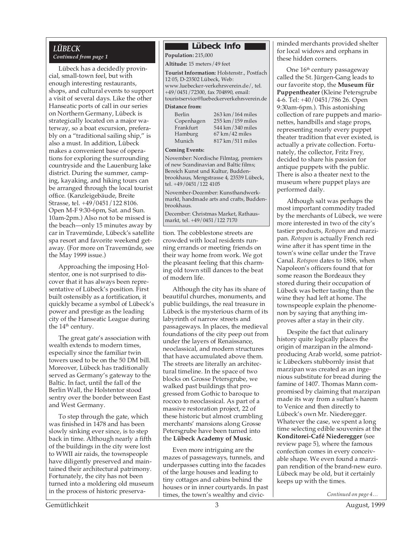## *LÜBECK*

#### *Continued from page 1*

Lübeck has a decidedly provincial, small-town feel, but with enough interesting restaurants, shops, and cultural events to support a visit of several days. Like the other Hanseatic ports of call in our series on Northern Germany, Lübeck is strategically located on a major waterway, so a boat excursion, preferably on a "traditional sailing ship," is also a must. In addition, Lübeck makes a convenient base of operations for exploring the surrounding countryside and the Lauenburg lake district. During the summer, camping, kayaking, and hiking tours can be arranged through the local tourist office. (Kanzleigebäude, Breite Strasse, tel. +49/0451/122 8106. Open M-F 9:30-6pm, Sat. and Sun. 10am-2pm.) Also not to be missed is the beach—only 15 minutes away by car in Travemünde, Lübeck's satellite spa resort and favorite weekend getaway. (For more on Travemünde, see the May 1999 issue.)

Approaching the imposing Holstentor, one is not surprised to discover that it has always been representative of Lübeck's position. First built ostensibly as a fortification, it quickly became a symbol of Lübeck's power and prestige as the leading city of the Hanseatic League during the 14<sup>th</sup> century.

The great gate's association with wealth extends to modern times, especially since the familiar twin towers used to be on the 50 DM bill. Moreover, Lübeck has traditionally served as Germany's gateway to the Baltic. In fact, until the fall of the Berlin Wall, the Holstentor stood sentry over the border between East and West Germany.

To step through the gate, which was finished in 1478 and has been slowly sinking ever since, is to step back in time. Although nearly a fifth of the buildings in the city were lost to WWII air raids, the townspeople have diligently preserved and maintained their architectural patrimony. Fortunately, the city has not been turned into a moldering old museum in the process of historic preserva-

#### **Lübeck Info**

**Population:** 215,000

#### **Altitude:** 15 meters/49 feet

**Tourist Information:** Holstenstr., Postfach 12 05, D-23502 Lübeck, Web: www.luebecker-verkehrsverein.de/, tel. +49/0451/72300, fax 704890, email: touristservice@luebeckerverkehrsverein.de

## **Distance from:**

| Berlin     | 263 km/164 miles           |
|------------|----------------------------|
| Copenhagen | 255 km / 159 miles         |
| Frankfurt  | 544 km/340 miles           |
| Hamburg    | $67 \text{ km}$ / 42 miles |
| Munich     | 817 km/511 miles           |
|            |                            |

#### **Coming Events:**

November: Nordische Filmtag, premiers of new Scandinavian and Baltic films; Bereich Kunst und Kultur, Buddenbrookhaus, Mengstrasse 4, 23539 Lübeck, tel. +49/0451/122 4105

November-December: Kunsthandwerkmarkt, handmade arts and crafts, Buddenbrookhaus.

December: Christmas Market, Rathausmarkt, tel. +49/0451/122 7170

tion. The cobblestone streets are crowded with local residents running errands or meeting friends on their way home from work. We got the pleasant feeling that this charming old town still dances to the beat of modern life.

Although the city has its share of beautiful churches, monuments, and public buildings, the real treasure in Lübeck is the mysterious charm of its labyrinth of narrow streets and passageways. In places, the medieval foundations of the city peep out from under the layers of Renaissance, neoclassical, and modern structures that have accumulated above them. The streets are literally an architectural timeline. In the space of two blocks on Grosse Petersgrube, we walked past buildings that progressed from Gothic to baroque to rococo to neoclassical. As part of a massive restoration project, 22 of these historic but almost crumbling merchants' mansions along Grosse Petersgrube have been turned into the **Lübeck Academy of Music**.

Even more intriguing are the mazes of passageways, tunnels, and underpasses cutting into the facades of the large houses and leading to tiny cottages and cabins behind the houses or in inner courtyards. In past times, the town's wealthy and civicminded merchants provided shelter for local widows and orphans in these hidden corners.

One  $16<sup>th</sup>$  century passageway called the St. Jürgen-Gang leads to our favorite stop, the **Museum für Puppentheater** (Kleine Petersgrube 4-6. Tel: +40/0451/786 26. Open 9:30am-6pm.). This astonishing collection of rare puppets and marionettes, handbills and stage props, representing nearly every puppet theater tradition that ever existed, is actually a private collection. Fortunately, the collector, Fritz Frey, decided to share his passion for antique puppets with the public. There is also a theater next to the museum where puppet plays are performed daily.

Although salt was perhaps the most important commodity traded by the merchants of Lübeck, we were more interested in two of the city's tastier products, *Rotspon* and marzipan. *Rotspon* is actually French red wine after it has spent time in the town's wine cellar under the Trave Canal. *Rotspon* dates to 1806, when Napoleon's officers found that for some reason the Bordeaux they stored during their occupation of Lübeck was better tasting than the wine they had left at home. The townspeople explain the phenomenon by saying that anything improves after a stay in their city.

Despite the fact that culinary history quite logically places the origin of marzipan in the almondproducing Arab world, some patriotic Lübeckers stubbornly insist that marzipan was created as an ingenious substitute for bread during the famine of 1407. Thomas Mann compromised by claiming that marzipan made its way from a sultan's harem to Venice and then directly to Lübeck's own Mr. Niederegger. Whatever the case, we spent a long time selecting edible souvenirs at the **Konditorei-Café Niederegger** (see review page 5), where the famous confection comes in every conceivable shape. We even found a marzipan rendition of the brand-new euro. Lübeck may be old, but it certainly keeps up with the times.

*Continued on page 4…*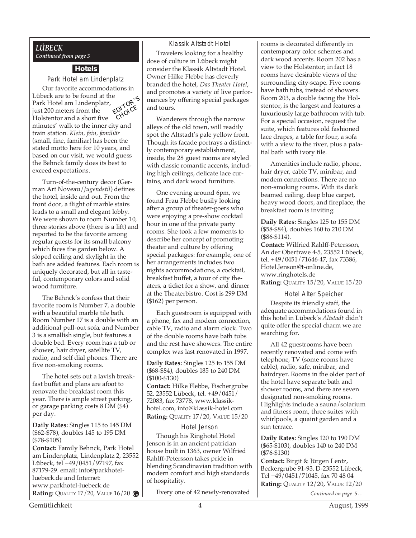#### *LÜBECK Continued from page 3*

#### **Hotels**

Park Hotel am Lindenplatz

Our favorite accommodations in Lübeck are to be found at the Park Hotel am Lindenplatz, just 200 meters from the Holstentor and a short five minutes' walk to the inner city and train station. *Klein, fein, familiär* (small, fine, familiar) has been the stated motto here for 10 years, and based on our visit, we would guess the Behnck family does its best to exceed expectations. EDITOR'<sup>S</sup> CHOICE

Turn-of-the-century decor (German Art Noveau/*Jugendstil*) defines the hotel, inside and out. From the front door, a flight of marble stairs leads to a small and elegant lobby. We were shown to room Number 10, three stories above (there is a lift) and reported to be the favorite among regular guests for its small balcony which faces the garden below. A sloped ceiling and skylight in the bath are added features. Each room is uniquely decorated, but all in tasteful, contemporary colors and solid wood furniture.

The Behnck's confess that their favorite room is Number 7, a double with a beautiful marble tile bath. Room Number 17 is a double with an additional pull-out sofa, and Number 3 is a smallish single, but features a double bed. Every room has a tub or shower, hair dryer, satellite TV, radio, and self dial phones. There are five non-smoking rooms.

The hotel sets out a lavish breakfast buffet and plans are afoot to renovate the breakfast room this year. There is ample street parking, or garage parking costs 8 DM (\$4) per day.

**Daily Rates:** Singles 115 to 145 DM (\$62-\$78), doubles 145 to 195 DM (\$78-\$105)

**Contact:** Family Behnck, Park Hotel am Lindenplatz, Lindenplatz 2, 23552 Lübeck, tel +49/0451/97197, fax 87179-29. email: info@parkhotelluebeck.de and Internet: www.parkhotel-luebeck.de **Rating:** QUALITY 17/20, VALUE 16/20 **G**

Klassik Altstadt Hotel Travelers looking for a healthy dose of culture in Lübeck might consider the Klassik Altstadt Hotel. Owner Hilke Flebbe has cleverly branded the hotel, *Das Theater Hotel*, and promotes a variety of live performances by offering special packages and tours.

Wanderers through the narrow alleys of the old town, will readily spot the Altstadt's pale yellow front. Though its facade portrays a distinctly contemporary establishment, inside, the 28 guest rooms are styled with classic romantic accents, including high ceilings, delicate lace curtains, and dark wood furniture.

One evening around 6pm, we found Frau Flebbe busily looking after a group of theater-goers who were enjoying a pre-show cocktail hour in one of the private party rooms. She took a few moments to describe her concept of promoting theater and culture by offering special packages: for example, one of her arrangements includes two nights accommodations, a cocktail, breakfast buffet, a tour of city theaters, a ticket for a show, and dinner at the Theaterbistro. Cost is 299 DM (\$162) per person.

Each guestroom is equipped with a phone, fax and modem connection, cable TV, radio and alarm clock. Two of the double rooms have bath tubs and the rest have showers. The entire complex was last renovated in 1997.

**Daily Rates:** Singles 125 to 155 DM (\$68-\$84), doubles 185 to 240 DM (\$100-\$130)

**Contact:** Hilke Flebbe, Fischergrube 52, 23552 Lübeck, tel. +49/0451/ 72083, fax 73778, www.klassikhotel.com, info@klassik-hotel.com **Rating:** QUALITY 17/20, VALUE 15/20

Hotel Jenson

Though his Ringhotel Hotel Jenson is in an ancient patrician house built in 1363, owner Wilfried Rahlff-Petersson takes pride in blending Scandinavian tradition with modern comfort and high standards of hospitality.

Every one of 42 newly-renovated

rooms is decorated differently in contemporary color schemes and dark wood accents. Room 202 has a view to the Holstentor; in fact 18 rooms have desirable views of the surrounding city-scape. Five rooms have bath tubs, instead of showers. Room 203, a double facing the Holstentor, is the largest and features a luxuriously large bathroom with tub. For a special occasion, request the suite, which features old fashioned lace drapes, a table for four, a sofa with a view to the river, plus a palatial bath with ivory tile.

Amenities include radio, phone, hair dryer, cable TV, minibar, and modem connections. There are no non-smoking rooms. With its dark beamed ceiling, deep blue carpet, heavy wood doors, and fireplace, the breakfast room is inviting.

**Daily Rates:** Singles 125 to 155 DM (\$58-\$84), doubles 160 to 210 DM (\$86-\$114).

**Contact:** Wilfried Rahlff-Petersson, An der Obertrave 4-5, 23552 Lübeck, tel. +49/0451/71646-47, fax 73386, Hotel.Jenson@t-online.de, www.ringhotels.de **Rating:** QUALITY 15/20, VALUE 15/20

Hotel Alter Speicher

Despite its friendly staff, the adequate accommodations found in this hotel in Lübeck's *Altstadt* didn't quite offer the special charm we are searching for.

All 42 guestrooms have been recently renovated and come with telephone, TV (some rooms have cable), radio, safe, minibar, and hairdryer. Rooms in the older part of the hotel have separate bath and shower rooms, and there are seven designated non-smoking rooms. Highlights include a sauna/solarium and fitness room, three suites with whirlpools, a quaint garden and a sun terrace.

**Daily Rates:** Singles 120 to 190 DM (\$65-\$103), doubles 140 to 240 DM (\$76-\$130)

**Contact:** Birgit & Jürgen Lentz, Beckergrube 91-93, D-23552 Lübeck, Tel +49/0451/71045, fax 70 48 04 **Rating:** QUALITY 12/20, VALUE 12/20

*Continued on page 5…*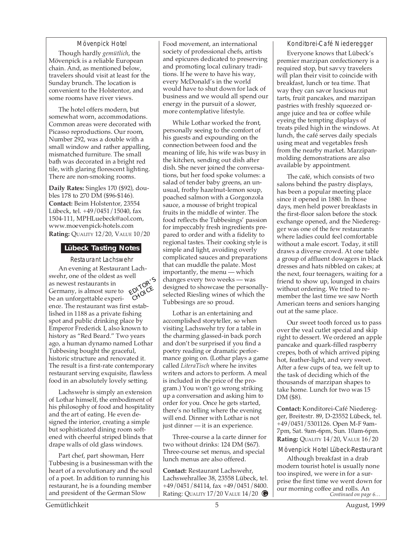#### Mövenpick Hotel

Though hardly *gemütlich*, the Mövenpick is a reliable European chain. And, as mentioned below, travelers should visit at least for the Sunday brunch. The location is convenient to the Holstentor, and some rooms have river views.

The hotel offers modern, but somewhat worn, accommodations. Common areas were decorated with Picasso reproductions. Our room, Number 292, was a double with a small window and rather appalling, mismatched furniture. The small bath was decorated in a bright red tile, with glaring florescent lighting. There are non-smoking rooms.

**Daily Rates:** Singles 170 (\$92), doubles 178 to 270 DM (\$96-\$146). **Contact:** Beim Holstentor, 23554 Lübeck, tel. +49/0451/15040, fax 1504-111, MPHLuebeck@aol.com, www.moevenpick-hotels.com **Rating:** QUALITY 12/20, VALUE 10/20

#### **Lübeck Tasting Notes**

Restaurant Lachswehr

An evening at Restaurant Lachswehr, one of the oldest as well as newest restaurants in Germany, is almost sure to be an unforgettable experience. The restaurant was first established in 1188 as a private fishing spot and public drinking place by Emperor Frederick I, also known to history as "Red Beard." Two years ago, a human dynamo named Lothar Tubbesing bought the graceful, historic structure and renovated it. The result is a first-rate contemporary restaurant serving exquisite, flawless food in an absolutely lovely setting. EDITOR'S CHOICE

Lachswehr is simply an extension of Lothar himself, the embodiment of his philosophy of food and hospitality and the art of eating. He even designed the interior, creating a simple but sophisticated dining room softened with cheerful striped blinds that drape walls of old glass windows.

Part chef, part showman, Herr Tubbesing is a businessman with the heart of a revolutionary and the soul of a poet. In addition to running his restaurant, he is a founding member and president of the German Slow

Food movement, an international society of professional chefs, artists and epicures dedicated to preserving and promoting local culinary traditions. If he were to have his way, every McDonald's in the world would have to shut down for lack of business and we would all spend our energy in the pursuit of a slower, more contemplative lifestyle.

While Lothar worked the front, personally seeing to the comfort of his guests and expounding on the connection between food and the meaning of life, his wife was busy in the kitchen, sending out dish after dish. She never joined the conversations, but her food spoke volumes: a salad of tender baby greens, an unusual, frothy hazelnut-lemon soup, poached salmon with a Gorgonzola sauce, a mousse of bright tropical fruits in the middle of winter. The food reflects the Tubbesings' passion for impeccably fresh ingredients prepared to order and with a fidelity to regional tastes. Their cooking style is simple and light, avoiding overly complicated sauces and preparations that can muddle the palate. Most importantly, the menu — which changes every two weeks — was designed to showcase the personallyselected Riesling wines of which the Tubbesings are so proud.

Lothar is an entertaining and accomplished storyteller, so when visiting Lachswehr try for a table in the charming glassed-in back porch and don't be surprised if you find a poetry reading or dramatic performance going on. (Lothar plays a game called *LiteraTisch* where he invites writers and actors to perform. A meal is included in the price of the program.) You won't go wrong striking up a conversation and asking him to order for you. Once he gets started, there's no telling where the evening will end. Dinner with Lothar is not just dinner — it is an experience.

Three-course a la carte dinner for two without drinks: 124 DM (\$67). Three-course set menus, and special lunch menus are also offered.

**Contact:** Restaurant Lachswehr, Lachswehrallee 38, 23558 Lübeck, tel. +49/0451/84114, fax +49/0451/8400. Rating: QUALITY 17/20 VALUE 14/20 **G**

Konditorei-Café Niederegger

Everyone knows that Lübeck's premier marzipan confectionery is a required stop, but savvy travelers will plan their visit to coincide with breakfast, lunch or tea time. That way they can savor luscious nut tarts, fruit pancakes, and marzipan pastries with freshly squeezed orange juice and tea or coffee while eyeing the tempting displays of treats piled high in the windows. At lunch, the café serves daily specials using meat and vegetables fresh from the nearby market. Marzipanmolding demonstrations are also available by appointment.

The café, which consists of two salons behind the pastry displays, has been a popular meeting place since it opened in 1880. In those days, men held power breakfasts in the first-floor salon before the stock exchange opened, and the Niederegger was one of the few restaurants where ladies could feel comfortable without a male escort. Today, it still draws a diverse crowd. At one table a group of affluent dowagers in black dresses and hats nibbled on cakes; at the next, four teenagers, waiting for a friend to show up, lounged in chairs without ordering. We tried to remember the last time we saw North American teens and seniors hanging out at the same place.

Our sweet tooth forced us to pass over the veal cutlet special and skip right to dessert. We ordered an apple pancake and quark-filled raspberry crepes, both of which arrived piping hot, feather-light, and very sweet. After a few cups of tea, we felt up to the task of deciding which of the thousands of marzipan shapes to take home. Lunch for two was 15 DM (\$8).

**Contact:** Konditorei-Café Niederegger, Breitestr. 89, D-23552 Lübeck, tel. +49/0451/5301126. Open M-F 9am-7pm, Sat. 9am-6pm, Sun. 10am-6pm. **Rating:** QUALITY 14/20, VALUE 16/20

Mövenpick Hotel Lübeck-Restaurant

*Continued on page 6…* Although breakfast in a drab modern tourist hotel is usually none too inspired, we were in for a surprise the first time we went down for our morning coffee and rolls. An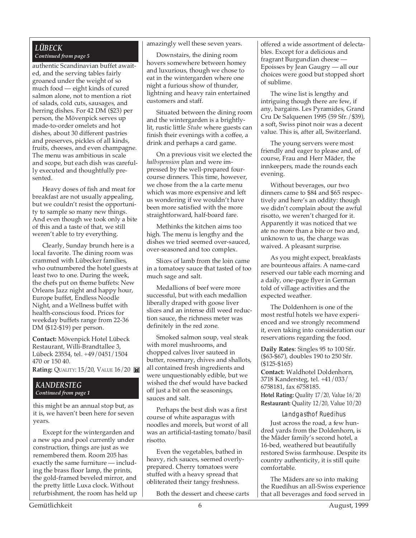#### *LÜBECK Continued from page 5*

authentic Scandinavian buffet awaited, and the serving tables fairly groaned under the weight of so much food — eight kinds of cured salmon alone, not to mention a riot of salads, cold cuts, sausages, and herring dishes. For 42 DM (\$23) per person, the Mövenpick serves up made-to-order omelets and hot dishes, about 30 different pastries and preserves, pickles of all kinds, fruits, cheeses, and even champagne. The menu was ambitious in scale and scope, but each dish was carefully executed and thoughtfully presented.

Heavy doses of fish and meat for breakfast are not usually appealing, but we couldn't resist the opportunity to sample so many new things. And even though we took only a bite of this and a taste of that, we still weren't able to try everything.

Clearly, Sunday brunch here is a local favorite. The dining room was crammed with Lübecker families, who outnumbered the hotel guests at least two to one. During the week, the chefs put on theme buffets: New Orleans Jazz night and happy hour, Europe buffet, Endless Noodle Night, and a Wellness buffet with health-conscious food. Prices for weekday buffets range from 22-36 DM (\$12-\$19) per person.

**Contact:** Mövenpick Hotel Lübeck Restaurant, Willi-Brandtallee 3, Lübeck 23554, tel. +49/0451/1504 470 or 150 40.

**Rating:** QUALITY: 15/20, VALUE 16/20

#### *KANDERSTEG Continued from page 1*

this might be an annual stop but, as it is, we haven't been here for seven years.

Except for the wintergarden and a new spa and pool currently under construction, things are just as we remembered them. Room 205 has exactly the same furniture — including the brass floor lamp, the prints, the gold-framed beveled mirror, and the pretty little Luxa clock. Without refurbishment, the room has held up amazingly well these seven years.

Downstairs, the dining room hovers somewhere between homey and luxurious, though we chose to eat in the wintergarden where one night a furious show of thunder, lightning and heavy rain entertained customers and staff.

Situated between the dining room and the wintergarden is a brightlylit, rustic little *Stube* where guests can finish their evenings with a coffee, a drink and perhaps a card game.

On a previous visit we elected the *halbspension* plan and were impressed by the well-prepared fourcourse dinners. This time, however, we chose from the a la carte menu which was more expensive and left us wondering if we wouldn't have been more satisfied with the more straightforward, half-board fare.

Methinks the kitchen aims too high. The menu is lengthy and the dishes we tried seemed over-sauced, over-seasoned and too complex.

Slices of lamb from the loin came in a tomatoey sauce that tasted of too much sage and salt.

Medallions of beef were more successful, but with each medallion liberally draped with goose liver slices and an intense dill weed reduction sauce, the richness meter was definitely in the red zone.

Smoked salmon soup, veal steak with morel mushrooms, and chopped calves liver sauteed in butter, rosemary, chives and shallots, all contained fresh ingredients and were unquestionably edible, but we wished the chef would have backed off just a bit on the seasonings, sauces and salt.

Perhaps the best dish was a first course of white asparagus with noodles and morels, but worst of all was an artificial-tasting tomato/basil risotto.

Even the vegetables, bathed in heavy, rich sauces, seemed overlyprepared. Cherry tomatoes were stuffed with a heavy spread that obliterated their tangy freshness.

Both the dessert and cheese carts

offered a wide assortment of delectables. Except for a delicious and fragrant Burgundian cheese — Epoisses by Jean Gaugry — all our choices were good but stopped short of sublime.

The wine list is lengthy and intriguing though there are few, if any, bargains. Les Pyramides, Grand Cru De Salquenen 1995 (59 Sfr./\$39), a soft, Swiss pinot noir was a decent value. This is, after all, Switzerland.

The young servers were most friendly and eager to please and, of course, Frau and Herr Mäder, the innkeepers, made the rounds each evening.

Without beverages, our two dinners came to \$84 and \$65 respectively and here's an oddity: though we didn't complain about the awful risotto, we weren't charged for it. Apparently it was noticed that we ate no more than a bite or two and, unknown to us, the charge was waived. A pleasant surprise.

As you might expect, breakfasts are bounteous affairs. A name-card reserved our table each morning and a daily, one-page flyer in German told of village activities and the expected weather.

The Doldenhorn is one of the most restful hotels we have experienced and we strongly recommend it, even taking into consideration our reservations regarding the food.

**Daily Rates**: Singles 95 to 100 Sfr. (\$63-\$67), doubles 190 to 250 Sfr. (\$125-\$165) **Contact:** Waldhotel Doldenhorn, 3718 Kandersteg, tel. +41/033/ 6758181, fax 6758185. **Hotel Rating:** Quality 17/20, Value 16/20 **Restaurant:** Quality 12/20, Value 10/20

Landgasthof Ruedihus

Just across the road, a few hundred yards from the Doldenhorn, is the Mäder family's second hotel, a 16-bed, weathered but beautifully restored Swiss farmhouse. Despite its country authenticity, it is still quite comfortable.

The Mäders are so into making the Ruedihus an all-Swiss experience that all beverages and food served in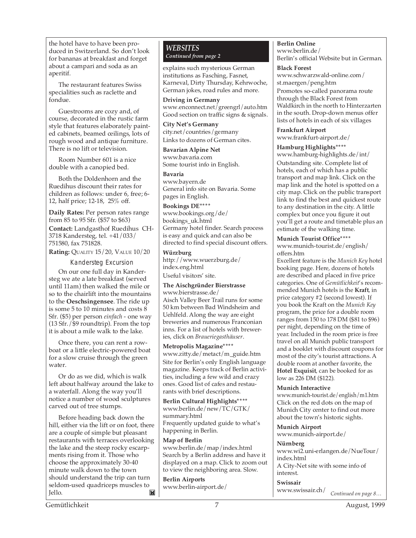the hotel have to have been produced in Switzerland. So don't look for bananas at breakfast and forget about a campari and soda as an aperitif.

The restaurant features Swiss specialities such as raclette and fondue.

Guestrooms are cozy and, of course, decorated in the rustic farm style that features elaborately painted cabinets, beamed ceilings, lots of rough wood and antique furniture. There is no lift or television.

Room Number 601 is a nice double with a canopied bed.

Both the Doldenhorn and the Ruedihus discount their rates for children as follows: under 6, free; 6- 12, half price; 12-18, 25% off.

**Daily Rates:** Per person rates range from 85 to 95 Sfr. (\$57 to \$63)

**Contact:** Landgasthof Ruedihus CH-3718 Kandersteg, tel. +41/033/ 751580, fax 751828.

**Rating:** QUALITY 15/20, VALUE 10/20

#### Kandersteg Excursion

On our one full day in Kandersteg we ate a late breakfast (served until 11am) then walked the mile or so to the chairlift into the mountains to the **Oeschsingensee**. The ride up is some 5 to 10 minutes and costs 8 Sfr. (\$5) per person *einfach* - one way (13 Sfr./\$9 roundtrip). From the top it is about a mile walk to the lake.

Once there, you can rent a rowboat or a little electric-powered boat for a slow cruise through the green water.

Or do as we did, which is walk left about halfway around the lake to a waterfall. Along the way you'll notice a number of wood sculptures carved out of tree stumps.

Before heading back down the hill, either via the lift or on foot, there are a couple of simple but pleasant restaurants with terraces overlooking the lake and the steep rocky escarpments rising from it. Those who choose the approximately 30-40 minute walk down to the town should understand the trip can turn seldom-used quadriceps muscles to Jello. Ĩ×1

#### *WEBSITES Continued from page 2*

explains such mysterious German institutions as Fasching, Fasnet, Karneval, Dirty Thursday, Kehrwoche, German jokes, road rules and more.

**Driving in Germany** www.enconnect.net/greengrl/auto.htm Good section on traffic signs & signals.

**City Net's Germany** city.net/countries/germany Links to dozens of German cites.

**Bavarian Alpine Net** www.bavaria.com Some tourist info in English.

**Bavaria** www.bayern.de General info site on Bavaria. Some pages in English.

**Bookings DE\*\*\*\*** www.bookings.org/de/ bookings\_uk.html Germany hotel finder. Search process is easy and quick and can also be directed to find special discount offers.

**Würzburg** http://www.wuerzburg.de/ index.eng.html Useful visitors' site.

#### **The Aischgründer Bierstrasse** www.bierstrasse.de/

Aisch Valley Beer Trail runs for some 50 km between Bad Windsheim and Uehlfeld. Along the way are eight breweries and numerous Franconian inns. For a list of hotels with breweries, click on *Braueriegasthäuser*.

**Metropolis Magazine\*\*\*\*** www.zitty.de/metact/m\_guide.htm Site for Berlin's only English language magazine. Keeps track of Berlin activities, including a few wild and crazy ones. Good list of cafes and restaurants with brief descriptions.

**Berlin Cultural Highlights\*\*\*\*** www.berlin.de/new/TC/GTK/ summary.html Frequently updated guide to what's happening in Berlin.

**Map of Berlin**

www.berlin.de/map/index.html Search by a Berlin address and have it displayed on a map. Click to zoom out to view the neighboring area. Slow.

**Berlin Airports** www.berlin-airport.de/ **Berlin Online** www.berlin.de/ Berlin's official Website but in German.

**Black Forest**

www.schwarzwald-online.com/ st.maergen/peng.htm

Promotes so-called panorama route through the Black Forest from Waldkirch in the north to Hinterzarten in the south. Drop-down menus offer lists of hotels in each of six villages

**Frankfurt Airport**

www.frankfurt-airport.de/

#### **Hamburg Highlights\*\*\*\***

www.hamburg-highlights.de/int/ Outstanding site. Complete list of hotels, each of which has a public transport and map link. Click on the map link and the hotel is spotted on a city map. Click on the public transport link to find the best and quickest route to any destination in the city. A little complex but once you figure it out you'll get a route and timetable plus an estimate of the walking time.

#### **Munich Tourist Office\*\*\*\***

www.munich-tourist.de/english/ offers.htm

Excellent feature is the *Munich Key* hotel booking page. Here, dozens of hotels are described and placed in five price categories. One of *Gemütlichkeit*'s recommended Munich hotels is the **Kraft**, in price category #2 (second lowest). If you book the Kraft on the *Munich Key* program, the price for a double room ranges from 150 to 178 DM (\$81 to \$96) per night, depending on the time of year. Included in the room price is free travel on all Munich public transport and a booklet with discount coupons for most of the city's tourist attractions. A double room at another favorite, the **Hotel Exquisit**, can be booked for as low as 226 DM (\$122).

#### **Munich Interactive**

www.munich-tourist.de/english/m1.htm Click on the red dots on the map of Munich City center to find out more about the town's historic sights.

**Munich Airport** www.munich-airport.de/

**Nürnberg**

www.wi2.uni-erlangen.de/NueTour/ index.html A City-Net site with some info of interest.

*Continued on page 8…* **Swissair** www.swissair.ch/